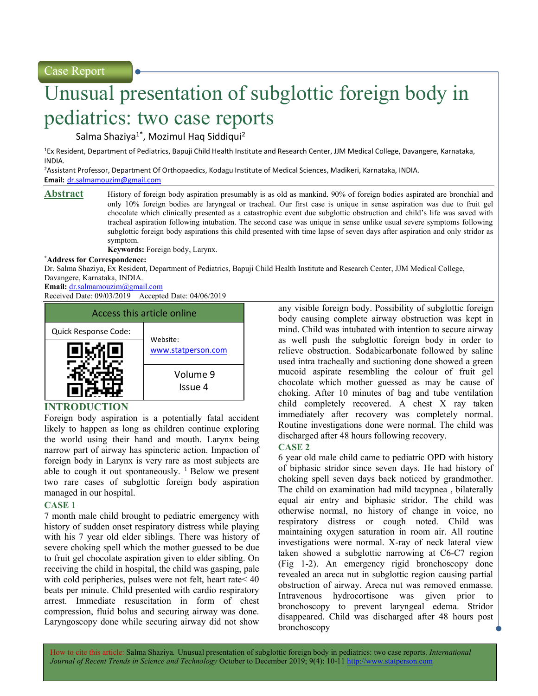Case Report

# Unusual presentation of subglottic foreign body in pediatrics: two case reports

Salma Shaziya<sup>1\*</sup>, Mozimul Haq Siddiqui<sup>2</sup>

<sup>1</sup>Ex Resident, Department of Pediatrics, Bapuji Child Health Institute and Research Center, JJM Medical College, Davangere, Karnataka, INDIA.

<sup>2</sup>Assistant Professor, Department Of Orthopaedics, Kodagu Institute of Medical Sciences, Madikeri, Karnataka, INDIA. Email: dr.salmamouzim@gmail.com

Abstract History of foreign body aspiration presumably is as old as mankind. 90% of foreign bodies aspirated are bronchial and only 10% foreign bodies are laryngeal or tracheal. Our first case is unique in sense aspiration was due to fruit gel chocolate which clinically presented as a catastrophic event due subglottic obstruction and child's life was saved with tracheal aspiration following intubation. The second case was unique in sense unlike usual severe symptoms following subglottic foreign body aspirations this child presented with time lapse of seven days after aspiration and only stridor as symptom.

Keywords: Foreign body, Larynx.

#### \*Address for Correspondence:

Dr. Salma Shaziya, Ex Resident, Department of Pediatrics, Bapuji Child Health Institute and Research Center, JJM Medical College, Davangere, Karnataka, INDIA.

Email: dr.salmamouzim@gmail.com

Received Date: 09/03/2019 Accepted Date: 04/06/2019



## INTRODUCTION

Foreign body aspiration is a potentially fatal accident likely to happen as long as children continue exploring the world using their hand and mouth. Larynx being narrow part of airway has spincteric action. Impaction of foreign body in Larynx is very rare as most subjects are able to cough it out spontaneously.  $\frac{1}{1}$  Below we present two rare cases of subglottic foreign body aspiration managed in our hospital.

### CASE 1

7 month male child brought to pediatric emergency with history of sudden onset respiratory distress while playing with his 7 year old elder siblings. There was history of severe choking spell which the mother guessed to be due to fruit gel chocolate aspiration given to elder sibling. On receiving the child in hospital, the child was gasping, pale with cold peripheries, pulses were not felt, heart rate< 40 beats per minute. Child presented with cardio respiratory arrest. Immediate resuscitation in form of chest compression, fluid bolus and securing airway was done. Laryngoscopy done while securing airway did not show

any visible foreign body. Possibility of subglottic foreign body causing complete airway obstruction was kept in mind. Child was intubated with intention to secure airway as well push the subglottic foreign body in order to relieve obstruction. Sodabicarbonate followed by saline used intra tracheally and suctioning done showed a green mucoid aspirate resembling the colour of fruit gel chocolate which mother guessed as may be cause of choking. After 10 minutes of bag and tube ventilation child completely recovered. A chest X ray taken immediately after recovery was completely normal. Routine investigations done were normal. The child was discharged after 48 hours following recovery.

### CASE 2

6 year old male child came to pediatric OPD with history of biphasic stridor since seven days. He had history of choking spell seven days back noticed by grandmother. The child on examination had mild tacypnea , bilaterally equal air entry and biphasic stridor. The child was otherwise normal, no history of change in voice, no respiratory distress or cough noted. Child was maintaining oxygen saturation in room air. All routine investigations were normal. X-ray of neck lateral view taken showed a subglottic narrowing at C6-C7 region (Fig 1-2). An emergency rigid bronchoscopy done revealed an areca nut in subglottic region causing partial obstruction of airway. Areca nut was removed enmasse. Intravenous hydrocortisone was given prior to bronchoscopy to prevent laryngeal edema. Stridor disappeared. Child was discharged after 48 hours post bronchoscopy

How to cite this article: Salma Shaziya. Unusual presentation of subglottic foreign body in pediatrics: two case reports. International Journal of Recent Trends in Science and Technology October to December 2019; 9(4): 10-11 http://www.statperson.com